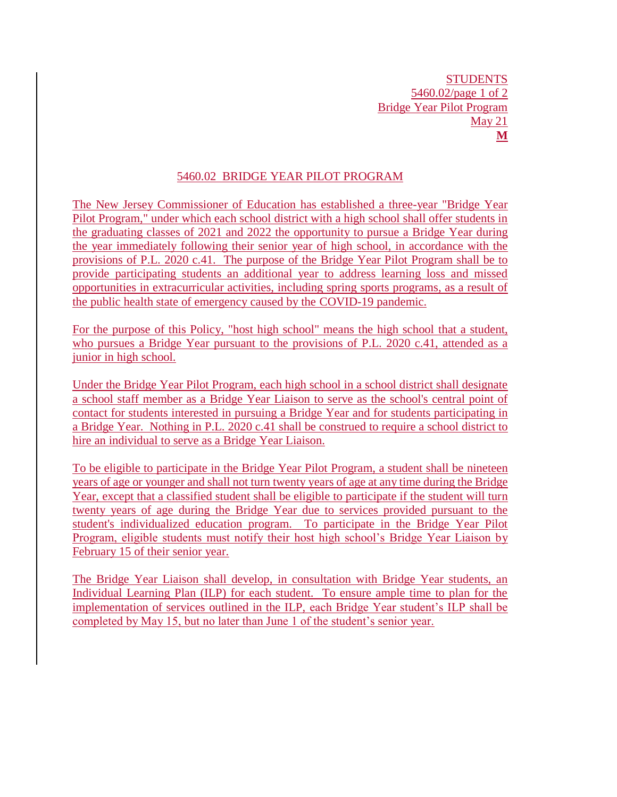## 5460.02 BRIDGE YEAR PILOT PROGRAM

The New Jersey Commissioner of Education has established a three-year "Bridge Year Pilot Program," under which each school district with a high school shall offer students in the graduating classes of 2021 and 2022 the opportunity to pursue a Bridge Year during the year immediately following their senior year of high school, in accordance with the provisions of P.L. 2020 c.41. The purpose of the Bridge Year Pilot Program shall be to provide participating students an additional year to address learning loss and missed opportunities in extracurricular activities, including spring sports programs, as a result of the public health state of emergency caused by the COVID-19 pandemic.

For the purpose of this Policy, "host high school" means the high school that a student, who pursues a Bridge Year pursuant to the provisions of P.L. 2020 c.41, attended as a junior in high school.

Under the Bridge Year Pilot Program, each high school in a school district shall designate a school staff member as a Bridge Year Liaison to serve as the school's central point of contact for students interested in pursuing a Bridge Year and for students participating in a Bridge Year. Nothing in P.L. 2020 c.41 shall be construed to require a school district to hire an individual to serve as a Bridge Year Liaison.

To be eligible to participate in the Bridge Year Pilot Program, a student shall be nineteen years of age or younger and shall not turn twenty years of age at any time during the Bridge Year, except that a classified student shall be eligible to participate if the student will turn twenty years of age during the Bridge Year due to services provided pursuant to the student's individualized education program. To participate in the Bridge Year Pilot Program, eligible students must notify their host high school's Bridge Year Liaison by February 15 of their senior year.

The Bridge Year Liaison shall develop, in consultation with Bridge Year students, an Individual Learning Plan (ILP) for each student. To ensure ample time to plan for the implementation of services outlined in the ILP, each Bridge Year student's ILP shall be completed by May 15, but no later than June 1 of the student's senior year.